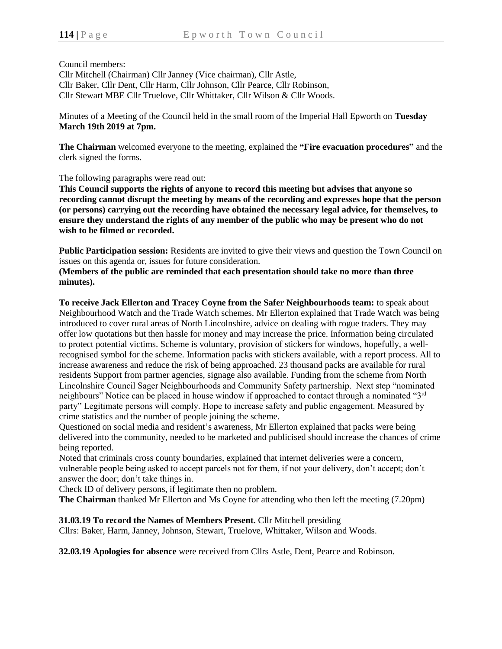Council members:

Cllr Mitchell (Chairman) Cllr Janney (Vice chairman), Cllr Astle, Cllr Baker, Cllr Dent, Cllr Harm, Cllr Johnson, Cllr Pearce, Cllr Robinson, Cllr Stewart MBE Cllr Truelove, Cllr Whittaker, Cllr Wilson & Cllr Woods.

Minutes of a Meeting of the Council held in the small room of the Imperial Hall Epworth on **Tuesday March 19th 2019 at 7pm.**

**The Chairman** welcomed everyone to the meeting, explained the **"Fire evacuation procedures"** and the clerk signed the forms.

The following paragraphs were read out:

**This Council supports the rights of anyone to record this meeting but advises that anyone so recording cannot disrupt the meeting by means of the recording and expresses hope that the person (or persons) carrying out the recording have obtained the necessary legal advice, for themselves, to ensure they understand the rights of any member of the public who may be present who do not wish to be filmed or recorded.**

**Public Participation session:** Residents are invited to give their views and question the Town Council on issues on this agenda or, issues for future consideration.

**(Members of the public are reminded that each presentation should take no more than three minutes).**

**To receive Jack Ellerton and Tracey Coyne from the Safer Neighbourhoods team:** to speak about Neighbourhood Watch and the Trade Watch schemes. Mr Ellerton explained that Trade Watch was being introduced to cover rural areas of North Lincolnshire, advice on dealing with rogue traders. They may offer low quotations but then hassle for money and may increase the price. Information being circulated to protect potential victims. Scheme is voluntary, provision of stickers for windows, hopefully, a wellrecognised symbol for the scheme. Information packs with stickers available, with a report process. All to increase awareness and reduce the risk of being approached. 23 thousand packs are available for rural residents Support from partner agencies, signage also available. Funding from the scheme from North Lincolnshire Council Sager Neighbourhoods and Community Safety partnership. Next step "nominated neighbours" Notice can be placed in house window if approached to contact through a nominated "3rd party" Legitimate persons will comply. Hope to increase safety and public engagement. Measured by crime statistics and the number of people joining the scheme.

Questioned on social media and resident's awareness, Mr Ellerton explained that packs were being delivered into the community, needed to be marketed and publicised should increase the chances of crime being reported.

Noted that criminals cross county boundaries, explained that internet deliveries were a concern, vulnerable people being asked to accept parcels not for them, if not your delivery, don't accept; don't answer the door; don't take things in.

Check ID of delivery persons, if legitimate then no problem.

**The Chairman** thanked Mr Ellerton and Ms Coyne for attending who then left the meeting (7.20pm)

**31.03.19 To record the Names of Members Present.** Cllr Mitchell presiding

Cllrs: Baker, Harm, Janney, Johnson, Stewart, Truelove, Whittaker, Wilson and Woods.

**32.03.19 Apologies for absence** were received from Cllrs Astle, Dent, Pearce and Robinson.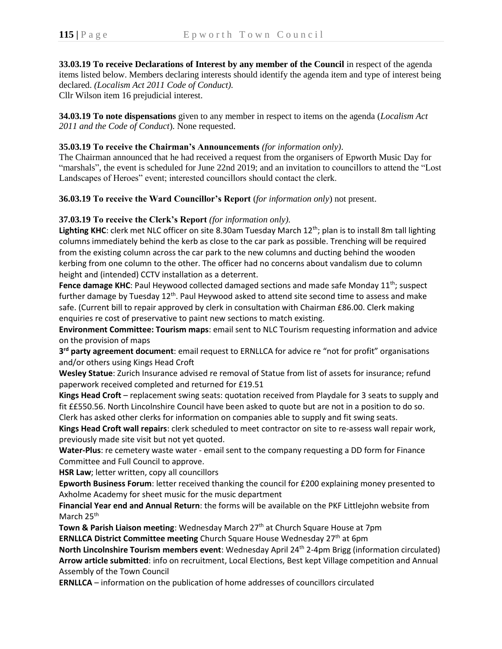**33.03.19 To receive Declarations of Interest by any member of the Council** in respect of the agenda items listed below. Members declaring interests should identify the agenda item and type of interest being declared. *(Localism Act 2011 Code of Conduct).* Cllr Wilson item 16 prejudicial interest.

**34.03.19 To note dispensations** given to any member in respect to items on the agenda (*Localism Act 2011 and the Code of Conduct*). None requested.

## **35.03.19 To receive the Chairman's Announcements** *(for information only)*.

The Chairman announced that he had received a request from the organisers of Epworth Music Day for "marshals", the event is scheduled for June 22nd 2019; and an invitation to councillors to attend the "Lost Landscapes of Heroes" event; interested councillors should contact the clerk.

**36.03.19 To receive the Ward Councillor's Report** (*for information only*) not present.

## **37.03.19 To receive the Clerk's Report** *(for information only).*

Lighting KHC: clerk met NLC officer on site 8.30am Tuesday March 12<sup>th</sup>; plan is to install 8m tall lighting columns immediately behind the kerb as close to the car park as possible. Trenching will be required from the existing column across the car park to the new columns and ducting behind the wooden kerbing from one column to the other. The officer had no concerns about vandalism due to column height and (intended) CCTV installation as a deterrent.

**Fence damage KHC**: Paul Heywood collected damaged sections and made safe Monday 11<sup>th</sup>; suspect further damage by Tuesday 12<sup>th</sup>. Paul Heywood asked to attend site second time to assess and make safe. (Current bill to repair approved by clerk in consultation with Chairman £86.00. Clerk making enquiries re cost of preservative to paint new sections to match existing.

**Environment Committee: Tourism maps**: email sent to NLC Tourism requesting information and advice on the provision of maps

**3 rd party agreement document**: email request to ERNLLCA for advice re "not for profit" organisations and/or others using Kings Head Croft

**Wesley Statue**: Zurich Insurance advised re removal of Statue from list of assets for insurance; refund paperwork received completed and returned for £19.51

**Kings Head Croft** – replacement swing seats: quotation received from Playdale for 3 seats to supply and fit ££550.56. North Lincolnshire Council have been asked to quote but are not in a position to do so. Clerk has asked other clerks for information on companies able to supply and fit swing seats.

**Kings Head Croft wall repairs**: clerk scheduled to meet contractor on site to re-assess wall repair work, previously made site visit but not yet quoted.

**Water-Plus**: re cemetery waste water - email sent to the company requesting a DD form for Finance Committee and Full Council to approve.

**HSR Law**; letter written, copy all councillors

**Epworth Business Forum**: letter received thanking the council for £200 explaining money presented to Axholme Academy for sheet music for the music department

**Financial Year end and Annual Return**: the forms will be available on the PKF Littlejohn website from March 25<sup>th</sup>

**Town & Parish Liaison meeting**: Wednesday March 27<sup>th</sup> at Church Square House at 7pm **ERNLLCA District Committee meeting** Church Square House Wednesday 27<sup>th</sup> at 6pm

**North Lincolnshire Tourism members event**: Wednesday April 24th 2-4pm Brigg (information circulated) **Arrow article submitted**: info on recruitment, Local Elections, Best kept Village competition and Annual Assembly of the Town Council

**ERNLLCA** – information on the publication of home addresses of councillors circulated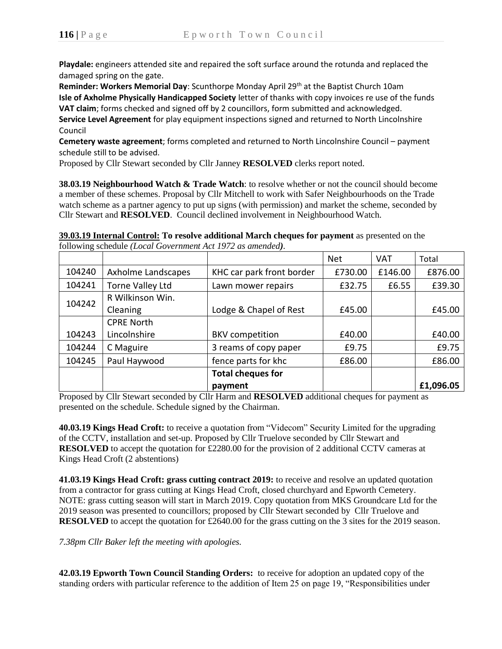**Playdale:** engineers attended site and repaired the soft surface around the rotunda and replaced the damaged spring on the gate.

**Reminder: Workers Memorial Day**: Scunthorpe Monday April 29<sup>th</sup> at the Baptist Church 10am **Isle of Axholme Physically Handicapped Society** letter of thanks with copy invoices re use of the funds **VAT claim**; forms checked and signed off by 2 councillors, form submitted and acknowledged. **Service Level Agreement** for play equipment inspections signed and returned to North Lincolnshire Council

**Cemetery waste agreement**; forms completed and returned to North Lincolnshire Council – payment schedule still to be advised.

Proposed by Cllr Stewart seconded by Cllr Janney **RESOLVED** clerks report noted.

**38.03.19 Neighbourhood Watch & Trade Watch**: to resolve whether or not the council should become a member of these schemes. Proposal by Cllr Mitchell to work with Safer Neighbourhoods on the Trade watch scheme as a partner agency to put up signs (with permission) and market the scheme, seconded by Cllr Stewart and **RESOLVED**. Council declined involvement in Neighbourhood Watch.

**39.03.19 Internal Control: To resolve additional March cheques for payment** as presented on the following schedule *(Local Government Act 1972 as amended).*

|        |                    |                           | <b>Net</b> | <b>VAT</b> | Total     |
|--------|--------------------|---------------------------|------------|------------|-----------|
| 104240 | Axholme Landscapes | KHC car park front border | £730.00    | £146.00    | £876.00   |
| 104241 | Torne Valley Ltd   | Lawn mower repairs        | £32.75     | £6.55      | £39.30    |
| 104242 | R Wilkinson Win.   |                           |            |            |           |
|        | Cleaning           | Lodge & Chapel of Rest    | £45.00     |            | £45.00    |
|        | <b>CPRE North</b>  |                           |            |            |           |
| 104243 | Lincolnshire       | <b>BKV</b> competition    | £40.00     |            | £40.00    |
| 104244 | C Maguire          | 3 reams of copy paper     | £9.75      |            | £9.75     |
| 104245 | Paul Haywood       | fence parts for khc       | £86.00     |            | £86.00    |
|        |                    | <b>Total cheques for</b>  |            |            |           |
|        |                    | payment                   |            |            | £1,096.05 |

Proposed by Cllr Stewart seconded by Cllr Harm and **RESOLVED** additional cheques for payment as presented on the schedule. Schedule signed by the Chairman.

**40.03.19 Kings Head Croft:** to receive a quotation from "Videcom" Security Limited for the upgrading of the CCTV, installation and set-up. Proposed by Cllr Truelove seconded by Cllr Stewart and **RESOLVED** to accept the quotation for £2280.00 for the provision of 2 additional CCTV cameras at Kings Head Croft (2 abstentions)

**41.03.19 Kings Head Croft: grass cutting contract 2019:** to receive and resolve an updated quotation from a contractor for grass cutting at Kings Head Croft, closed churchyard and Epworth Cemetery. NOTE: grass cutting season will start in March 2019. Copy quotation from MKS Groundcare Ltd for the 2019 season was presented to councillors; proposed by Cllr Stewart seconded by Cllr Truelove and **RESOLVED** to accept the quotation for £2640.00 for the grass cutting on the 3 sites for the 2019 season.

*7.38pm Cllr Baker left the meeting with apologies.*

**42.03.19 Epworth Town Council Standing Orders:** to receive for adoption an updated copy of the standing orders with particular reference to the addition of Item 25 on page 19, "Responsibilities under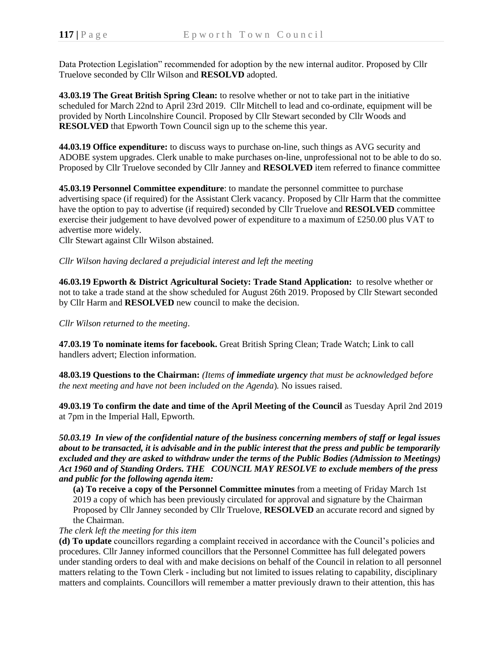Data Protection Legislation" recommended for adoption by the new internal auditor. Proposed by Cllr Truelove seconded by Cllr Wilson and **RESOLVD** adopted.

**43.03.19 The Great British Spring Clean:** to resolve whether or not to take part in the initiative scheduled for March 22nd to April 23rd 2019. Cllr Mitchell to lead and co-ordinate, equipment will be provided by North Lincolnshire Council. Proposed by Cllr Stewart seconded by Cllr Woods and **RESOLVED** that Epworth Town Council sign up to the scheme this year.

**44.03.19 Office expenditure:** to discuss ways to purchase on-line, such things as AVG security and ADOBE system upgrades. Clerk unable to make purchases on-line, unprofessional not to be able to do so. Proposed by Cllr Truelove seconded by Cllr Janney and **RESOLVED** item referred to finance committee

**45.03.19 Personnel Committee expenditure**: to mandate the personnel committee to purchase advertising space (if required) for the Assistant Clerk vacancy. Proposed by Cllr Harm that the committee have the option to pay to advertise (if required) seconded by Cllr Truelove and **RESOLVED** committee exercise their judgement to have devolved power of expenditure to a maximum of £250.00 plus VAT to advertise more widely.

Cllr Stewart against Cllr Wilson abstained.

*Cllr Wilson having declared a prejudicial interest and left the meeting*

**46.03.19 Epworth & District Agricultural Society: Trade Stand Application:** to resolve whether or not to take a trade stand at the show scheduled for August 26th 2019. Proposed by Cllr Stewart seconded by Cllr Harm and **RESOLVED** new council to make the decision.

*Cllr Wilson returned to the meeting*.

**47.03.19 To nominate items for facebook.** Great British Spring Clean; Trade Watch; Link to call handlers advert; Election information.

**48.03.19 Questions to the Chairman:** *(Items of immediate urgency that must be acknowledged before the next meeting and have not been included on the Agenda*)*.* No issues raised.

**49.03.19 To confirm the date and time of the April Meeting of the Council** as Tuesday April 2nd 2019 at 7pm in the Imperial Hall, Epworth.

*50.03.19 In view of the confidential nature of the business concerning members of staff or legal issues about to be transacted, it is advisable and in the public interest that the press and public be temporarily excluded and they are asked to withdraw under the terms of the Public Bodies (Admission to Meetings) Act 1960 and of Standing Orders. THE COUNCIL MAY RESOLVE to exclude members of the press and public for the following agenda item:*

**(a) To receive a copy of the Personnel Committee minutes** from a meeting of Friday March 1st 2019 a copy of which has been previously circulated for approval and signature by the Chairman Proposed by Cllr Janney seconded by Cllr Truelove, **RESOLVED** an accurate record and signed by the Chairman.

## *The clerk left the meeting for this item*

**(d) To update** councillors regarding a complaint received in accordance with the Council's policies and procedures. Cllr Janney informed councillors that the Personnel Committee has full delegated powers under standing orders to deal with and make decisions on behalf of the Council in relation to all personnel matters relating to the Town Clerk - including but not limited to issues relating to capability, disciplinary matters and complaints. Councillors will remember a matter previously drawn to their attention, this has